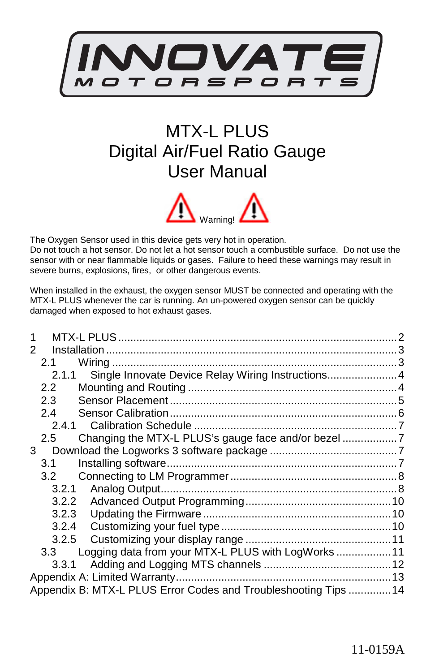

# MTX-L PLUS Digital Air/Fuel Ratio Gauge User Manual



The Oxygen Sensor used in this device gets very hot in operation. Do not touch a hot sensor. Do not let a hot sensor touch a combustible surface. Do not use the sensor with or near flammable liquids or gases. Failure to heed these warnings may result in severe burns, explosions, fires, or other dangerous events.

When installed in the exhaust, the oxygen sensor MUST be connected and operating with the MTX-L PLUS whenever the car is running. An un-powered oxygen sensor can be quickly damaged when exposed to hot exhaust gases.

| 2 |                                                                 |  |
|---|-----------------------------------------------------------------|--|
|   | 2.1                                                             |  |
|   | Single Innovate Device Relay Wiring Instructions 4<br>2.1.1     |  |
|   | 2.2                                                             |  |
|   | 2.3                                                             |  |
|   | 2.4                                                             |  |
|   |                                                                 |  |
|   | 2.5                                                             |  |
| 3 |                                                                 |  |
|   | 3.1                                                             |  |
|   | 3.2                                                             |  |
|   | 3.2.1                                                           |  |
|   | 3.2.2                                                           |  |
|   | 3.2.3                                                           |  |
|   | 3.2.4                                                           |  |
|   | 3.2.5                                                           |  |
|   | Logging data from your MTX-L PLUS with LogWorks11<br>3.3        |  |
|   | 3.3.1                                                           |  |
|   |                                                                 |  |
|   | Appendix B: MTX-L PLUS Error Codes and Troubleshooting Tips  14 |  |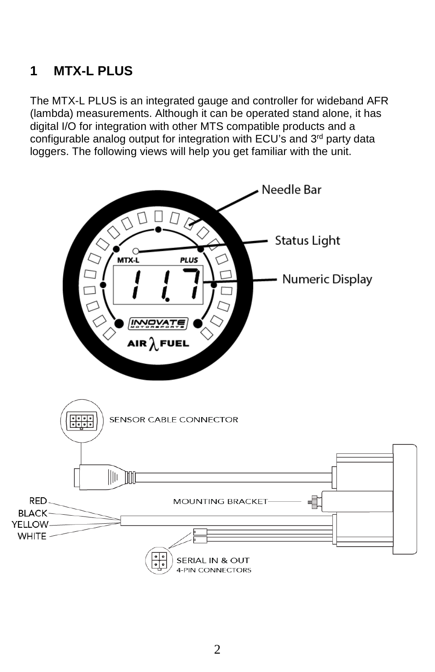# **1 MTX-L PLUS**

The MTX-L PLUS is an integrated gauge and controller for wideband AFR (lambda) measurements. Although it can be operated stand alone, it has digital I/O for integration with other MTS compatible products and a configurable analog output for integration with ECU's and 3<sup>rd</sup> party data loggers. The following views will help you get familiar with the unit.

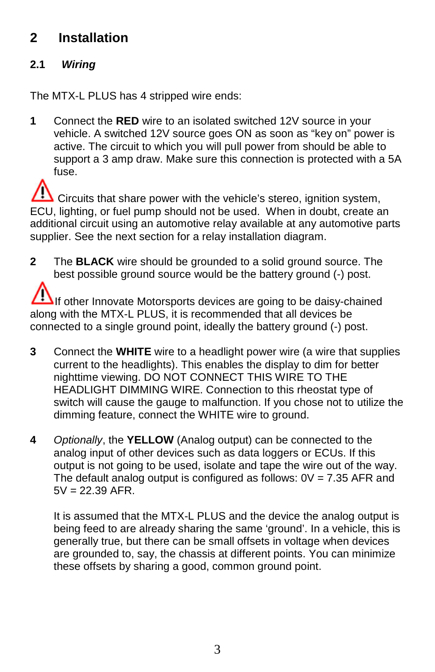# **2 Installation**

# **2.1 Wiring**

The MTX-L PLUS has 4 stripped wire ends:

**1** Connect the **RED** wire to an isolated switched 12V source in your vehicle. A switched 12V source goes ON as soon as "key on" power is active. The circuit to which you will pull power from should be able to support a 3 amp draw. Make sure this connection is protected with a 5A fuse.

Circuits that share power with the vehicle's stereo, ignition system, ECU, lighting, or fuel pump should not be used. When in doubt, create an additional circuit using an automotive relay available at any automotive parts supplier. See the next section for a relay installation diagram.

**2** The **BLACK** wire should be grounded to a solid ground source. The best possible ground source would be the battery ground (-) post.

If other Innovate Motorsports devices are going to be daisy-chained along with the MTX-L PLUS, it is recommended that all devices be connected to a single ground point, ideally the battery ground (-) post.

- **3** Connect the **WHITE** wire to a headlight power wire (a wire that supplies current to the headlights). This enables the display to dim for better nighttime viewing. DO NOT CONNECT THIS WIRE TO THE HEADLIGHT DIMMING WIRE. Connection to this rheostat type of switch will cause the gauge to malfunction. If you chose not to utilize the dimming feature, connect the WHITE wire to ground.
- **4** Optionally, the **YELLOW** (Analog output) can be connected to the analog input of other devices such as data loggers or ECUs. If this output is not going to be used, isolate and tape the wire out of the way. The default analog output is configured as follows:  $0V = 7.35$  AFR and  $5V = 22.39$  AFR.

It is assumed that the MTX-L PLUS and the device the analog output is being feed to are already sharing the same 'ground'. In a vehicle, this is generally true, but there can be small offsets in voltage when devices are grounded to, say, the chassis at different points. You can minimize these offsets by sharing a good, common ground point.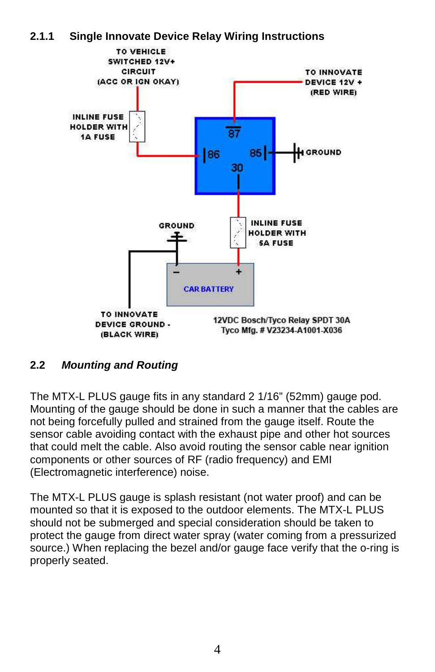



## **2.2 Mounting and Routing**

The MTX-L PLUS gauge fits in any standard 2 1/16" (52mm) gauge pod. Mounting of the gauge should be done in such a manner that the cables are not being forcefully pulled and strained from the gauge itself. Route the sensor cable avoiding contact with the exhaust pipe and other hot sources that could melt the cable. Also avoid routing the sensor cable near ignition components or other sources of RF (radio frequency) and EMI (Electromagnetic interference) noise.

The MTX-L PLUS gauge is splash resistant (not water proof) and can be mounted so that it is exposed to the outdoor elements. The MTX-L PLUS should not be submerged and special consideration should be taken to protect the gauge from direct water spray (water coming from a pressurized source.) When replacing the bezel and/or gauge face verify that the o-ring is properly seated.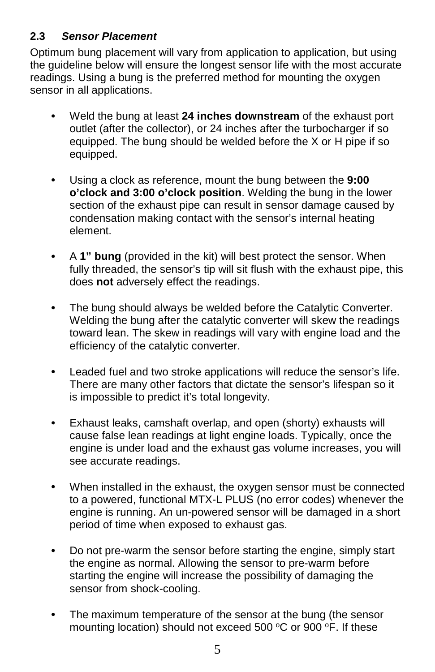## **2.3 Sensor Placement**

Optimum bung placement will vary from application to application, but using the guideline below will ensure the longest sensor life with the most accurate readings. Using a bung is the preferred method for mounting the oxygen sensor in all applications.

- Weld the bung at least **24 inches downstream** of the exhaust port outlet (after the collector), or 24 inches after the turbocharger if so equipped. The bung should be welded before the X or H pipe if so equipped.
- Using a clock as reference, mount the bung between the **9:00 o'clock and 3:00 o'clock position**. Welding the bung in the lower section of the exhaust pipe can result in sensor damage caused by condensation making contact with the sensor's internal heating element.
- A **1" bung** (provided in the kit) will best protect the sensor. When fully threaded, the sensor's tip will sit flush with the exhaust pipe, this does **not** adversely effect the readings.
- The bung should always be welded before the Catalytic Converter. Welding the bung after the catalytic converter will skew the readings toward lean. The skew in readings will vary with engine load and the efficiency of the catalytic converter.
- Leaded fuel and two stroke applications will reduce the sensor's life. There are many other factors that dictate the sensor's lifespan so it is impossible to predict it's total longevity.
- Exhaust leaks, camshaft overlap, and open (shorty) exhausts will cause false lean readings at light engine loads. Typically, once the engine is under load and the exhaust gas volume increases, you will see accurate readings.
- When installed in the exhaust, the oxygen sensor must be connected to a powered, functional MTX-L PLUS (no error codes) whenever the engine is running. An un-powered sensor will be damaged in a short period of time when exposed to exhaust gas.
- Do not pre-warm the sensor before starting the engine, simply start the engine as normal. Allowing the sensor to pre-warm before starting the engine will increase the possibility of damaging the sensor from shock-cooling.
- The maximum temperature of the sensor at the bung (the sensor mounting location) should not exceed 500  $\degree$ C or 900  $\degree$ F. If these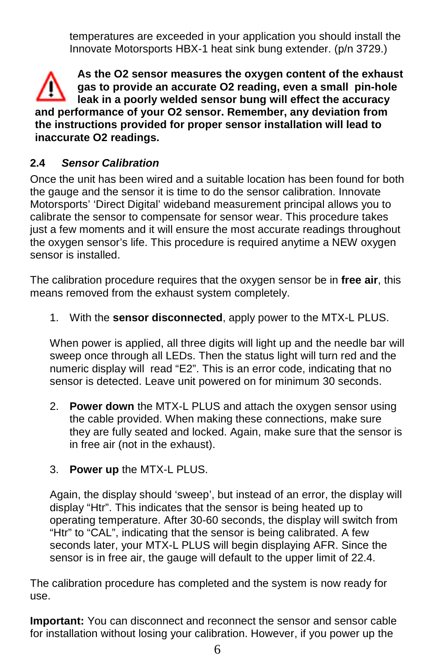temperatures are exceeded in your application you should install the Innovate Motorsports HBX-1 heat sink bung extender. (p/n 3729.)

**As the O2 sensor measures the oxygen content of the exhaust gas to provide an accurate O2 reading, even a small pin-hole leak in a poorly welded sensor bung will effect the accuracy and performance of your O2 sensor. Remember, any deviation from the instructions provided for proper sensor installation will lead to inaccurate O2 readings.** 

## **2.4 Sensor Calibration**

Once the unit has been wired and a suitable location has been found for both the gauge and the sensor it is time to do the sensor calibration. Innovate Motorsports' 'Direct Digital' wideband measurement principal allows you to calibrate the sensor to compensate for sensor wear. This procedure takes just a few moments and it will ensure the most accurate readings throughout the oxygen sensor's life. This procedure is required anytime a NEW oxygen sensor is installed.

The calibration procedure requires that the oxygen sensor be in **free air**, this means removed from the exhaust system completely.

1. With the **sensor disconnected**, apply power to the MTX-L PLUS.

When power is applied, all three digits will light up and the needle bar will sweep once through all LEDs. Then the status light will turn red and the numeric display will read "E2". This is an error code, indicating that no sensor is detected. Leave unit powered on for minimum 30 seconds.

- 2. **Power down** the MTX-L PLUS and attach the oxygen sensor using the cable provided. When making these connections, make sure they are fully seated and locked. Again, make sure that the sensor is in free air (not in the exhaust).
- 3. **Power up** the MTX-L PLUS.

Again, the display should 'sweep', but instead of an error, the display will display "Htr". This indicates that the sensor is being heated up to operating temperature. After 30-60 seconds, the display will switch from "Htr" to "CAL", indicating that the sensor is being calibrated. A few seconds later, your MTX-L PLUS will begin displaying AFR. Since the sensor is in free air, the gauge will default to the upper limit of 22.4.

The calibration procedure has completed and the system is now ready for use.

**Important:** You can disconnect and reconnect the sensor and sensor cable for installation without losing your calibration. However, if you power up the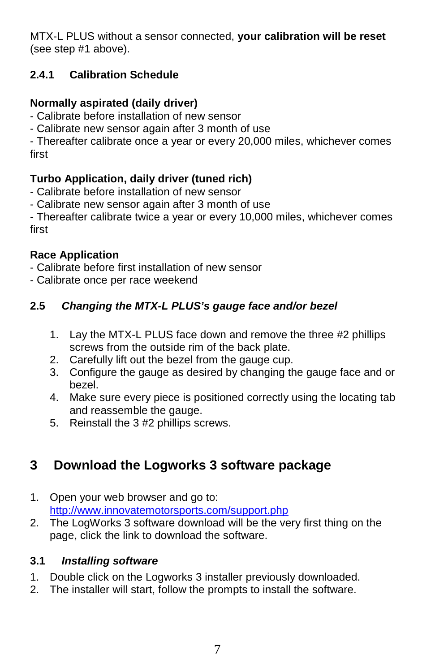MTX-L PLUS without a sensor connected, **your calibration will be reset** (see step #1 above).

# **2.4.1 Calibration Schedule**

# **Normally aspirated (daily driver)**

- Calibrate before installation of new sensor
- Calibrate new sensor again after 3 month of use

- Thereafter calibrate once a year or every 20,000 miles, whichever comes first

## **Turbo Application, daily driver (tuned rich)**

- Calibrate before installation of new sensor
- Calibrate new sensor again after 3 month of use

- Thereafter calibrate twice a year or every 10,000 miles, whichever comes first

## **Race Application**

- Calibrate before first installation of new sensor
- Calibrate once per race weekend

# **2.5 Changing the MTX-L PLUS's gauge face and/or bezel**

- 1. Lay the MTX-L PLUS face down and remove the three #2 phillips screws from the outside rim of the back plate.
- 2. Carefully lift out the bezel from the gauge cup.
- 3. Configure the gauge as desired by changing the gauge face and or bezel.
- 4. Make sure every piece is positioned correctly using the locating tab and reassemble the gauge.
- 5. Reinstall the 3 #2 phillips screws.

# **3 Download the Logworks 3 software package**

- 1. Open your web browser and go to: http://www.innovatemotorsports.com/support.php
- 2. The LogWorks 3 software download will be the very first thing on the page, click the link to download the software.

## **3.1 Installing software**

- 1. Double click on the Logworks 3 installer previously downloaded.
- 2. The installer will start, follow the prompts to install the software.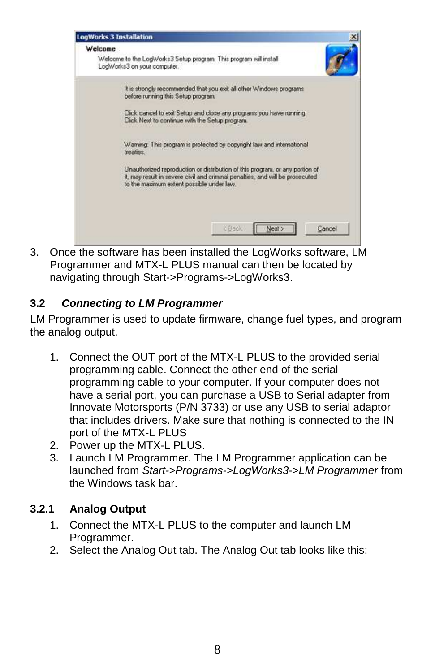

3. Once the software has been installed the LogWorks software, LM Programmer and MTX-L PLUS manual can then be located by navigating through Start->Programs->LogWorks3.

# **3.2 Connecting to LM Programmer**

LM Programmer is used to update firmware, change fuel types, and program the analog output.

- 1. Connect the OUT port of the MTX-L PLUS to the provided serial programming cable. Connect the other end of the serial programming cable to your computer. If your computer does not have a serial port, you can purchase a USB to Serial adapter from Innovate Motorsports (P/N 3733) or use any USB to serial adaptor that includes drivers. Make sure that nothing is connected to the IN port of the MTX-L PLUS
- 2. Power up the MTX-L PLUS.
- 3. Launch LM Programmer. The LM Programmer application can be launched from Start->Programs->LogWorks3->LM Programmer from the Windows task bar.

# **3.2.1 Analog Output**

- 1. Connect the MTX-L PLUS to the computer and launch LM Programmer.
- 2. Select the Analog Out tab. The Analog Out tab looks like this: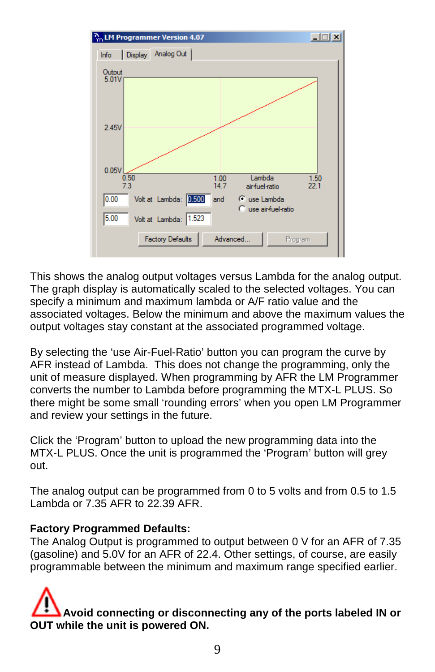

This shows the analog output voltages versus Lambda for the analog output. The graph display is automatically scaled to the selected voltages. You can specify a minimum and maximum lambda or A/F ratio value and the associated voltages. Below the minimum and above the maximum values the output voltages stay constant at the associated programmed voltage.

By selecting the 'use Air-Fuel-Ratio' button you can program the curve by AFR instead of Lambda. This does not change the programming, only the unit of measure displayed. When programming by AFR the LM Programmer converts the number to Lambda before programming the MTX-L PLUS. So there might be some small 'rounding errors' when you open LM Programmer and review your settings in the future.

Click the 'Program' button to upload the new programming data into the MTX-L PLUS. Once the unit is programmed the 'Program' button will grey out.

The analog output can be programmed from 0 to 5 volts and from 0.5 to 1.5 Lambda or 7.35 AFR to 22.39 AFR.

### **Factory Programmed Defaults:**

The Analog Output is programmed to output between 0 V for an AFR of 7.35 (gasoline) and 5.0V for an AFR of 22.4. Other settings, of course, are easily programmable between the minimum and maximum range specified earlier.

# **Avoid connecting or disconnecting any of the ports labeled IN or OUT while the unit is powered ON.**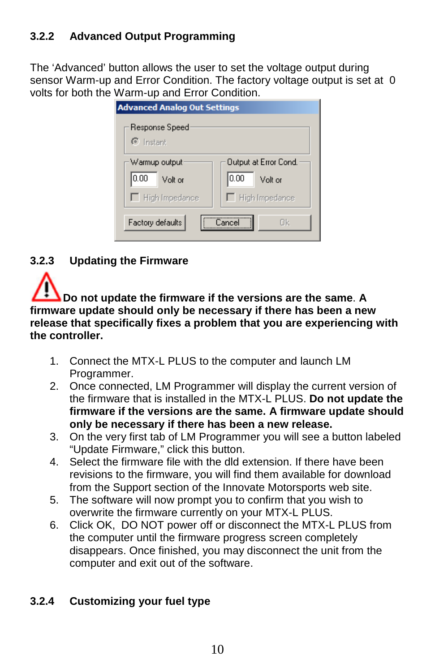# **3.2.2 Advanced Output Programming**

The 'Advanced' button allows the user to set the voltage output during sensor Warm-up and Error Condition. The factory voltage output is set at 0 volts for both the Warm-up and Error Condition.

| <b>Advanced Analog Out Settings</b> |                       |  |  |  |
|-------------------------------------|-----------------------|--|--|--|
| Response Speed                      |                       |  |  |  |
| $\epsilon$ Instant                  |                       |  |  |  |
| Warmup output                       | Output at Error Cond. |  |  |  |
| 10.00<br>Volt or                    | 10.00<br>Volt or      |  |  |  |
| $\Box$ High Impedance               | $\Box$ High Impedance |  |  |  |
| Factory defaults                    | Πk<br>'ancel          |  |  |  |

**3.2.3 Updating the Firmware** 



**Do not update the firmware if the versions are the same**. **A firmware update should only be necessary if there has been a new release that specifically fixes a problem that you are experiencing with the controller.** 

- 1. Connect the MTX-L PLUS to the computer and launch LM Programmer.
- 2. Once connected, LM Programmer will display the current version of the firmware that is installed in the MTX-L PLUS. **Do not update the firmware if the versions are the same. A firmware update should only be necessary if there has been a new release.**
- 3. On the very first tab of LM Programmer you will see a button labeled "Update Firmware," click this button.
- 4. Select the firmware file with the dld extension. If there have been revisions to the firmware, you will find them available for download from the Support section of the Innovate Motorsports web site.
- 5. The software will now prompt you to confirm that you wish to overwrite the firmware currently on your MTX-L PLUS.
- 6. Click OK, DO NOT power off or disconnect the MTX-L PLUS from the computer until the firmware progress screen completely disappears. Once finished, you may disconnect the unit from the computer and exit out of the software.

# **3.2.4 Customizing your fuel type**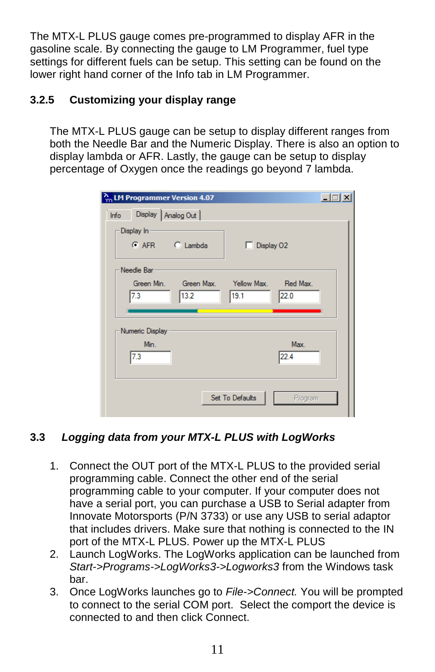The MTX-L PLUS gauge comes pre-programmed to display AFR in the gasoline scale. By connecting the gauge to LM Programmer, fuel type settings for different fuels can be setup. This setting can be found on the lower right hand corner of the Info tab in LM Programmer.

# **3.2.5 Customizing your display range**

The MTX-L PLUS gauge can be setup to display different ranges from both the Needle Bar and the Numeric Display. There is also an option to display lambda or AFR. Lastly, the gauge can be setup to display percentage of Oxygen once the readings go beyond 7 lambda.

|      |                 | $\frac{N_{\text{m}}}{m}$ LM Programmer Version 4.07 |                      |         | $ \Box$ $\times$ |
|------|-----------------|-----------------------------------------------------|----------------------|---------|------------------|
| Info |                 | Display   Analog Out                                |                      |         |                  |
|      | Display In      |                                                     |                      |         |                  |
|      |                 | C AFR C Lambda                                      | $\Box$ Display 02    |         |                  |
|      | Needle Bar      |                                                     |                      |         |                  |
|      | Green Min.      | Green Max.                                          | Yellow Max. Red Max. |         |                  |
|      | 7.3             | 13.2                                                | 19.1                 | 22.0    |                  |
|      |                 |                                                     |                      |         |                  |
|      | Numeric Display |                                                     |                      |         |                  |
|      | Min.            |                                                     |                      | Max.    |                  |
|      | 7.3             |                                                     |                      | 22.4    |                  |
|      |                 |                                                     |                      |         |                  |
|      |                 |                                                     | Set To Defaults      | Program |                  |
|      |                 |                                                     |                      |         |                  |

# **3.3 Logging data from your MTX-L PLUS with LogWorks**

- 1. Connect the OUT port of the MTX-L PLUS to the provided serial programming cable. Connect the other end of the serial programming cable to your computer. If your computer does not have a serial port, you can purchase a USB to Serial adapter from Innovate Motorsports (P/N 3733) or use any USB to serial adaptor that includes drivers. Make sure that nothing is connected to the IN port of the MTX-L PLUS. Power up the MTX-L PLUS
- 2. Launch LogWorks. The LogWorks application can be launched from Start->Programs->LogWorks3->Logworks3 from the Windows task bar.
- 3. Once LogWorks launches go to File->Connect. You will be prompted to connect to the serial COM port. Select the comport the device is connected to and then click Connect.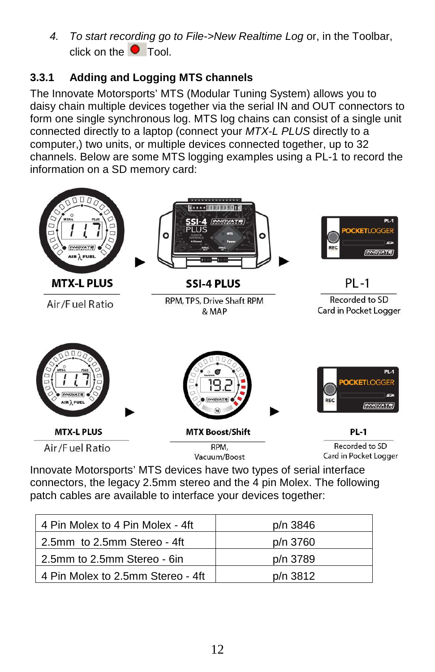4. To start recording go to File->New Realtime Log or, in the Toolbar, click on the  $\bullet$  Tool.

# **3.3.1 Adding and Logging MTS channels**

The Innovate Motorsports' MTS (Modular Tuning System) allows you to daisy chain multiple devices together via the serial IN and OUT connectors to form one single synchronous log. MTS log chains can consist of a single unit connected directly to a laptop (connect your MTX-L PLUS directly to a computer,) two units, or multiple devices connected together, up to 32 channels. Below are some MTS logging examples using a PL-1 to record the information on a SD memory card:



Innovate Motorsports' MTS devices have two types of serial interface connectors, the legacy 2.5mm stereo and the 4 pin Molex. The following patch cables are available to interface your devices together:

| 4 Pin Molex to 4 Pin Molex - 4ft  | p/n 3846 |
|-----------------------------------|----------|
| 2.5mm to 2.5mm Stereo - 4ft       | p/n 3760 |
| 2.5mm to 2.5mm Stereo - 6in       | p/n 3789 |
| 4 Pin Molex to 2.5mm Stereo - 4ft | p/n 3812 |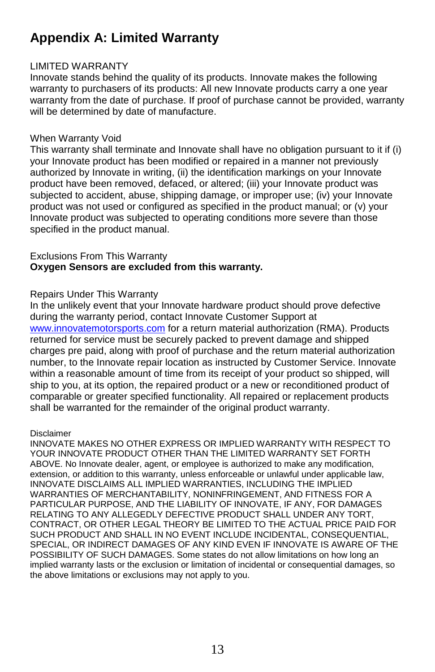# **Appendix A: Limited Warranty**

#### LIMITED WARRANTY

Innovate stands behind the quality of its products. Innovate makes the following warranty to purchasers of its products: All new Innovate products carry a one year warranty from the date of purchase. If proof of purchase cannot be provided, warranty will be determined by date of manufacture.

#### When Warranty Void

This warranty shall terminate and Innovate shall have no obligation pursuant to it if (i) your Innovate product has been modified or repaired in a manner not previously authorized by Innovate in writing, (ii) the identification markings on your Innovate product have been removed, defaced, or altered; (iii) your Innovate product was subjected to accident, abuse, shipping damage, or improper use; (iv) your Innovate product was not used or configured as specified in the product manual; or (v) your Innovate product was subjected to operating conditions more severe than those specified in the product manual.

#### Exclusions From This Warranty **Oxygen Sensors are excluded from this warranty.**

#### Repairs Under This Warranty

In the unlikely event that your Innovate hardware product should prove defective during the warranty period, contact Innovate Customer Support at www.innovatemotorsports.com for a return material authorization (RMA). Products returned for service must be securely packed to prevent damage and shipped charges pre paid, along with proof of purchase and the return material authorization number, to the Innovate repair location as instructed by Customer Service. Innovate within a reasonable amount of time from its receipt of your product so shipped, will ship to you, at its option, the repaired product or a new or reconditioned product of comparable or greater specified functionality. All repaired or replacement products shall be warranted for the remainder of the original product warranty.

#### Disclaimer

INNOVATE MAKES NO OTHER EXPRESS OR IMPLIED WARRANTY WITH RESPECT TO YOUR INNOVATE PRODUCT OTHER THAN THE LIMITED WARRANTY SET FORTH ABOVE. No Innovate dealer, agent, or employee is authorized to make any modification, extension, or addition to this warranty, unless enforceable or unlawful under applicable law, INNOVATE DISCLAIMS ALL IMPLIED WARRANTIES, INCLUDING THE IMPLIED WARRANTIES OF MERCHANTABILITY, NONINFRINGEMENT, AND FITNESS FOR A PARTICULAR PURPOSE, AND THE LIABILITY OF INNOVATE, IF ANY, FOR DAMAGES RELATING TO ANY ALLEGEDLY DEFECTIVE PRODUCT SHALL UNDER ANY TORT, CONTRACT, OR OTHER LEGAL THEORY BE LIMITED TO THE ACTUAL PRICE PAID FOR SUCH PRODUCT AND SHALL IN NO EVENT INCLUDE INCIDENTAL, CONSEQUENTIAL, SPECIAL, OR INDIRECT DAMAGES OF ANY KIND EVEN IF INNOVATE IS AWARE OF THE POSSIBILITY OF SUCH DAMAGES. Some states do not allow limitations on how long an implied warranty lasts or the exclusion or limitation of incidental or consequential damages, so the above limitations or exclusions may not apply to you.